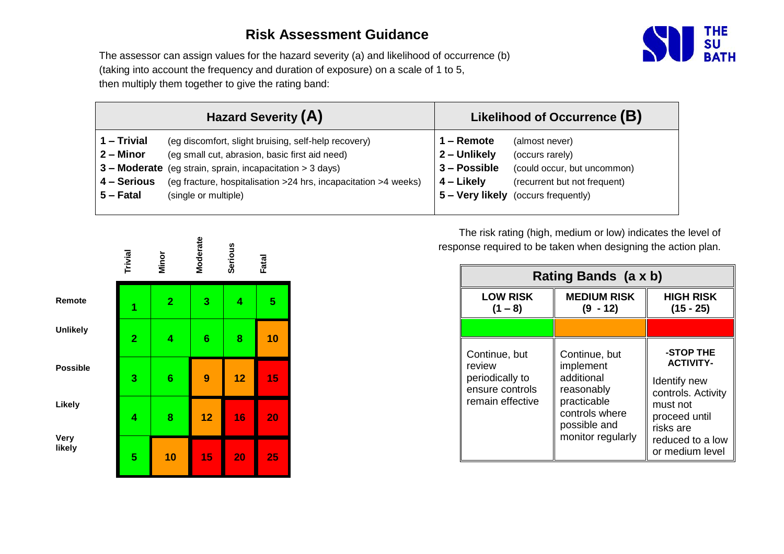## **Risk Assessment Guidance**



The assessor can assign values for the hazard severity (a) and likelihood of occurrence (b) (taking into account the frequency and duration of exposure) on a scale of 1 to 5, then multiply them together to give the rating band:

| <b>Hazard Severity (A)</b>                                      | Likelihood of Occurrence (B) |
|-----------------------------------------------------------------|------------------------------|
| 1 - Trivial                                                     | . – Remote                   |
| (eg discomfort, slight bruising, self-help recovery)            | (almost never)               |
| $2 -$ Minor                                                     | 2 - Unlikely                 |
| (eg small cut, abrasion, basic first aid need)                  | (occurs rarely)              |
| 3 – Moderate                                                    | 3 - Possible                 |
| (eg strain, sprain, incapacitation > 3 days)                    | (could occur, but uncommon)  |
| 4 - Serious                                                     | 4 – Likely                   |
| (eg fracture, hospitalisation >24 hrs, incapacitation >4 weeks) | (recurrent but not frequent) |
| $5 -$ Fatal                                                     | 5 – Very likely              |
| (single or multiple)                                            | (occurs frequently)          |

|                       | Trivial        | Minor          | <b>Moderate</b> | <b>Serious</b> | Fatal |
|-----------------------|----------------|----------------|-----------------|----------------|-------|
| Remote                | 1              | $\overline{2}$ | 3               | 4              | 5     |
| <b>Unlikely</b>       | $\overline{2}$ | 4              | $6\phantom{1}6$ | 8              | 10    |
| <b>Possible</b>       | 3              | 6              | 9               | 12             | 15    |
| Likely                | 4              | 8              | 12              | 16             | 20    |
| <b>Very</b><br>likely | 5              | 10             | 15              | 20             | 25    |

The risk rating (high, medium or low) indicates the level of response required to be taken when designing the action plan.

|                                                                                   | Rating Bands (a x b)                                                                                                         |                                                                                                                                                      |  |  |  |  |  |
|-----------------------------------------------------------------------------------|------------------------------------------------------------------------------------------------------------------------------|------------------------------------------------------------------------------------------------------------------------------------------------------|--|--|--|--|--|
| <b>LOW RISK</b><br>$(1 - 8)$                                                      | <b>MEDIUM RISK</b><br>$(9 - 12)$                                                                                             | <b>HIGH RISK</b><br>$(15 - 25)$                                                                                                                      |  |  |  |  |  |
|                                                                                   |                                                                                                                              |                                                                                                                                                      |  |  |  |  |  |
| Continue, but<br>review<br>periodically to<br>ensure controls<br>remain effective | Continue, but<br>implement<br>additional<br>reasonably<br>practicable<br>controls where<br>possible and<br>monitor regularly | -STOP THE<br><b>ACTIVITY-</b><br>Identify new<br>controls. Activity<br>must not<br>proceed until<br>risks are<br>reduced to a low<br>or medium level |  |  |  |  |  |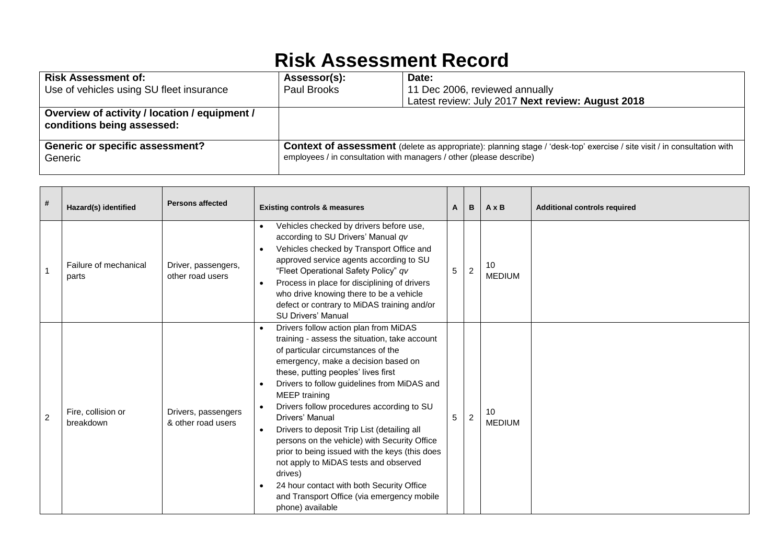## **Risk Assessment Record**

| <b>Risk Assessment of:</b>                                                  | Assessor(s):                                                                                                                                                                                          | Date:                                             |  |  |
|-----------------------------------------------------------------------------|-------------------------------------------------------------------------------------------------------------------------------------------------------------------------------------------------------|---------------------------------------------------|--|--|
| Use of vehicles using SU fleet insurance                                    | Paul Brooks                                                                                                                                                                                           | 11 Dec 2006, reviewed annually                    |  |  |
|                                                                             |                                                                                                                                                                                                       | Latest review: July 2017 Next review: August 2018 |  |  |
| Overview of activity / location / equipment /<br>conditions being assessed: |                                                                                                                                                                                                       |                                                   |  |  |
| <b>Generic or specific assessment?</b><br>Generic                           | <b>Context of assessment</b> (delete as appropriate): planning stage / 'desk-top' exercise / site visit / in consultation with<br>employees / in consultation with managers / other (please describe) |                                                   |  |  |

| #              | Hazard(s) identified            | <b>Persons affected</b>                   | <b>Existing controls &amp; measures</b>                                                                                                                                                                                                                                                                                                                                                                                                                                                                                                                                                                                                                                                                                 | A | в              | $A \times B$        | <b>Additional controls required</b> |
|----------------|---------------------------------|-------------------------------------------|-------------------------------------------------------------------------------------------------------------------------------------------------------------------------------------------------------------------------------------------------------------------------------------------------------------------------------------------------------------------------------------------------------------------------------------------------------------------------------------------------------------------------------------------------------------------------------------------------------------------------------------------------------------------------------------------------------------------------|---|----------------|---------------------|-------------------------------------|
|                | Failure of mechanical<br>parts  | Driver, passengers,<br>other road users   | Vehicles checked by drivers before use,<br>according to SU Drivers' Manual qv<br>Vehicles checked by Transport Office and<br>$\bullet$<br>approved service agents according to SU<br>"Fleet Operational Safety Policy" qv<br>Process in place for disciplining of drivers<br>who drive knowing there to be a vehicle<br>defect or contrary to MiDAS training and/or<br><b>SU Drivers' Manual</b>                                                                                                                                                                                                                                                                                                                        | 5 | $\overline{2}$ | 10<br><b>MEDIUM</b> |                                     |
| $\overline{2}$ | Fire, collision or<br>breakdown | Drivers, passengers<br>& other road users | Drivers follow action plan from MiDAS<br>$\bullet$<br>training - assess the situation, take account<br>of particular circumstances of the<br>emergency, make a decision based on<br>these, putting peoples' lives first<br>Drivers to follow guidelines from MiDAS and<br>MEEP training<br>Drivers follow procedures according to SU<br>$\bullet$<br>Drivers' Manual<br>5<br>Drivers to deposit Trip List (detailing all<br>$\bullet$<br>persons on the vehicle) with Security Office<br>prior to being issued with the keys (this does<br>not apply to MiDAS tests and observed<br>drives)<br>24 hour contact with both Security Office<br>$\bullet$<br>and Transport Office (via emergency mobile<br>phone) available |   | 2              | 10<br><b>MEDIUM</b> |                                     |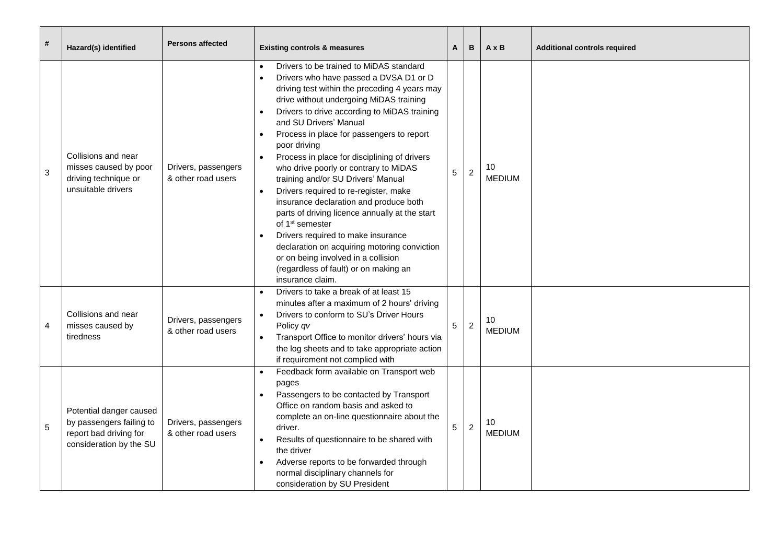| $\#$ | Hazard(s) identified                                                                                     | <b>Persons affected</b>                   | <b>Existing controls &amp; measures</b>                                                                                                                                                                                                                                                                                                                                                                                                                                                                                                                                                                                                                                                                                                                                                                                                     |   |                | $A \times B$        | <b>Additional controls required</b> |
|------|----------------------------------------------------------------------------------------------------------|-------------------------------------------|---------------------------------------------------------------------------------------------------------------------------------------------------------------------------------------------------------------------------------------------------------------------------------------------------------------------------------------------------------------------------------------------------------------------------------------------------------------------------------------------------------------------------------------------------------------------------------------------------------------------------------------------------------------------------------------------------------------------------------------------------------------------------------------------------------------------------------------------|---|----------------|---------------------|-------------------------------------|
| 3    | Collisions and near<br>misses caused by poor<br>driving technique or<br>unsuitable drivers               | Drivers, passengers<br>& other road users | Drivers to be trained to MiDAS standard<br>$\bullet$<br>Drivers who have passed a DVSA D1 or D<br>driving test within the preceding 4 years may<br>drive without undergoing MiDAS training<br>Drivers to drive according to MiDAS training<br>and SU Drivers' Manual<br>Process in place for passengers to report<br>poor driving<br>Process in place for disciplining of drivers<br>who drive poorly or contrary to MiDAS<br>training and/or SU Drivers' Manual<br>Drivers required to re-register, make<br>$\bullet$<br>insurance declaration and produce both<br>parts of driving licence annually at the start<br>of 1 <sup>st</sup> semester<br>Drivers required to make insurance<br>declaration on acquiring motoring conviction<br>or on being involved in a collision<br>(regardless of fault) or on making an<br>insurance claim. | 5 | 2              | 10<br><b>MEDIUM</b> |                                     |
| 4    | Collisions and near<br>misses caused by<br>tiredness                                                     | Drivers, passengers<br>& other road users | Drivers to take a break of at least 15<br>minutes after a maximum of 2 hours' driving<br>Drivers to conform to SU's Driver Hours<br>Policy qv<br>Transport Office to monitor drivers' hours via<br>the log sheets and to take appropriate action<br>if requirement not complied with                                                                                                                                                                                                                                                                                                                                                                                                                                                                                                                                                        | 5 | $\overline{2}$ | 10<br><b>MEDIUM</b> |                                     |
| 5    | Potential danger caused<br>by passengers failing to<br>report bad driving for<br>consideration by the SU | Drivers, passengers<br>& other road users | Feedback form available on Transport web<br>pages<br>Passengers to be contacted by Transport<br>Office on random basis and asked to<br>complete an on-line questionnaire about the<br>driver.<br>Results of questionnaire to be shared with<br>$\bullet$<br>the driver<br>Adverse reports to be forwarded through<br>normal disciplinary channels for<br>consideration by SU President                                                                                                                                                                                                                                                                                                                                                                                                                                                      | 5 | $\overline{2}$ | 10<br><b>MEDIUM</b> |                                     |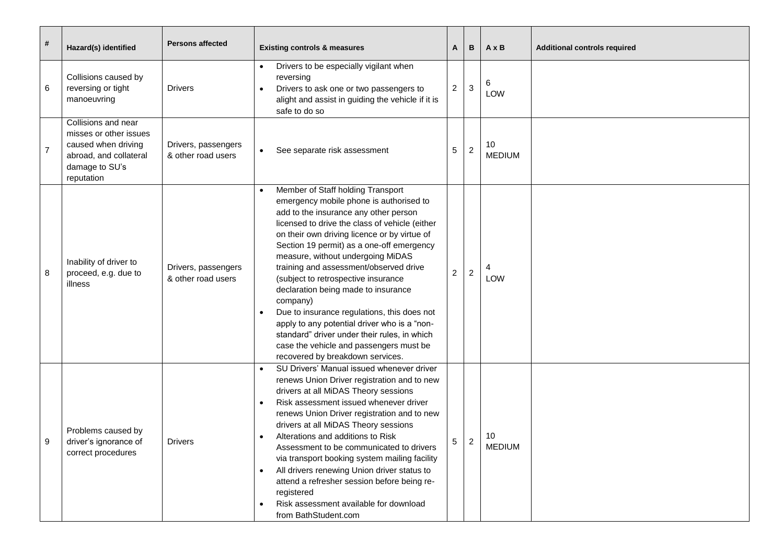| #              | Hazard(s) identified                                                                                                           | <b>Persons affected</b>                   | <b>Existing controls &amp; measures</b>                                                                                                                                                                                                                                                                                                                                                                                                                                                                                                                                                                                                                   | A | В              | $A \times B$        | <b>Additional controls required</b> |
|----------------|--------------------------------------------------------------------------------------------------------------------------------|-------------------------------------------|-----------------------------------------------------------------------------------------------------------------------------------------------------------------------------------------------------------------------------------------------------------------------------------------------------------------------------------------------------------------------------------------------------------------------------------------------------------------------------------------------------------------------------------------------------------------------------------------------------------------------------------------------------------|---|----------------|---------------------|-------------------------------------|
| 6              | Collisions caused by<br>reversing or tight<br>manoeuvring                                                                      | <b>Drivers</b>                            | Drivers to be especially vigilant when<br>reversing<br>$\overline{c}$<br>Drivers to ask one or two passengers to<br>alight and assist in guiding the vehicle if it is<br>safe to do so                                                                                                                                                                                                                                                                                                                                                                                                                                                                    |   | $\sqrt{3}$     | 6<br>LOW            |                                     |
| $\overline{7}$ | Collisions and near<br>misses or other issues<br>caused when driving<br>abroad, and collateral<br>damage to SU's<br>reputation | Drivers, passengers<br>& other road users | 5<br>See separate risk assessment<br>$\bullet$                                                                                                                                                                                                                                                                                                                                                                                                                                                                                                                                                                                                            |   | 2              | 10<br><b>MEDIUM</b> |                                     |
| 8              | Inability of driver to<br>proceed, e.g. due to<br>illness                                                                      | Drivers, passengers<br>& other road users | Member of Staff holding Transport<br>emergency mobile phone is authorised to<br>add to the insurance any other person<br>licensed to drive the class of vehicle (either<br>on their own driving licence or by virtue of<br>Section 19 permit) as a one-off emergency<br>measure, without undergoing MiDAS<br>training and assessment/observed drive<br>$\overline{c}$<br>(subject to retrospective insurance<br>declaration being made to insurance<br>company)<br>Due to insurance regulations, this does not<br>apply to any potential driver who is a "non-<br>standard" driver under their rules, in which<br>case the vehicle and passengers must be |   | $\overline{2}$ | LOW                 |                                     |
| 9              | Problems caused by<br>driver's ignorance of<br>correct procedures                                                              | <b>Drivers</b>                            | recovered by breakdown services.<br>SU Drivers' Manual issued whenever driver<br>renews Union Driver registration and to new<br>drivers at all MiDAS Theory sessions<br>Risk assessment issued whenever driver<br>renews Union Driver registration and to new<br>drivers at all MiDAS Theory sessions<br>Alterations and additions to Risk<br>5<br>Assessment to be communicated to drivers<br>via transport booking system mailing facility<br>All drivers renewing Union driver status to<br>attend a refresher session before being re-<br>registered<br>Risk assessment available for download<br>from BathStudent.com                                |   | $\overline{2}$ | 10<br><b>MEDIUM</b> |                                     |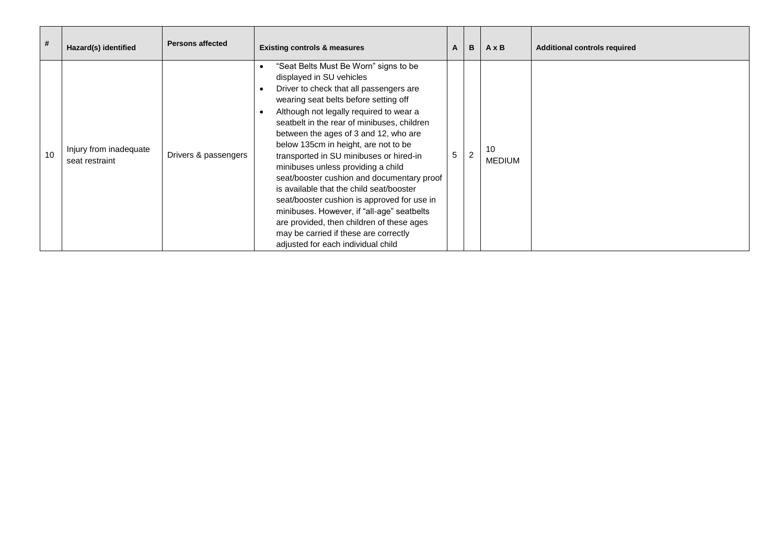| #  | Hazard(s) identified                     | <b>Persons affected</b> | <b>Existing controls &amp; measures</b>                                                                                                                                                                                                                                                                                                                                                                                                                                                                                                                                                                                                                                                                                                                        | A | В              | $A \times B$        | <b>Additional controls required</b> |
|----|------------------------------------------|-------------------------|----------------------------------------------------------------------------------------------------------------------------------------------------------------------------------------------------------------------------------------------------------------------------------------------------------------------------------------------------------------------------------------------------------------------------------------------------------------------------------------------------------------------------------------------------------------------------------------------------------------------------------------------------------------------------------------------------------------------------------------------------------------|---|----------------|---------------------|-------------------------------------|
| 10 | Injury from inadequate<br>seat restraint | Drivers & passengers    | "Seat Belts Must Be Worn" signs to be<br>displayed in SU vehicles<br>Driver to check that all passengers are<br>$\bullet$<br>wearing seat belts before setting off<br>Although not legally required to wear a<br>$\bullet$<br>seatbelt in the rear of minibuses, children<br>between the ages of 3 and 12, who are<br>below 135cm in height, are not to be<br>transported in SU minibuses or hired-in<br>minibuses unless providing a child<br>seat/booster cushion and documentary proof<br>is available that the child seat/booster<br>seat/booster cushion is approved for use in<br>minibuses. However, if "all-age" seatbelts<br>are provided, then children of these ages<br>may be carried if these are correctly<br>adjusted for each individual child | 5 | $\overline{2}$ | 10<br><b>MEDIUM</b> |                                     |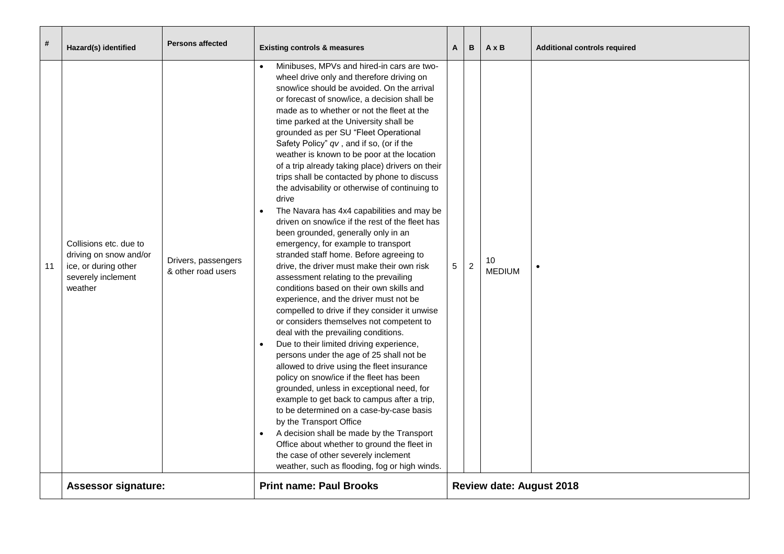| #  | Hazard(s) identified                                                                                      | <b>Persons affected</b>                   | <b>Existing controls &amp; measures</b>                                                                                                                                                                                                                                                                                                                                                                                                                                                                                                                                                                                                                                                                                                                                                                                                                                                                                                                                                                                                                                                                                                                                                                                                                                                                                                                                                                                                                                                                                                                                                                                                                                | $\mathbf{A}$                    | B              | $A \times B$        | <b>Additional controls required</b> |
|----|-----------------------------------------------------------------------------------------------------------|-------------------------------------------|------------------------------------------------------------------------------------------------------------------------------------------------------------------------------------------------------------------------------------------------------------------------------------------------------------------------------------------------------------------------------------------------------------------------------------------------------------------------------------------------------------------------------------------------------------------------------------------------------------------------------------------------------------------------------------------------------------------------------------------------------------------------------------------------------------------------------------------------------------------------------------------------------------------------------------------------------------------------------------------------------------------------------------------------------------------------------------------------------------------------------------------------------------------------------------------------------------------------------------------------------------------------------------------------------------------------------------------------------------------------------------------------------------------------------------------------------------------------------------------------------------------------------------------------------------------------------------------------------------------------------------------------------------------------|---------------------------------|----------------|---------------------|-------------------------------------|
| 11 | Collisions etc. due to<br>driving on snow and/or<br>ice, or during other<br>severely inclement<br>weather | Drivers, passengers<br>& other road users | Minibuses, MPVs and hired-in cars are two-<br>wheel drive only and therefore driving on<br>snow/ice should be avoided. On the arrival<br>or forecast of snow/ice, a decision shall be<br>made as to whether or not the fleet at the<br>time parked at the University shall be<br>grounded as per SU "Fleet Operational<br>Safety Policy" qv, and if so, (or if the<br>weather is known to be poor at the location<br>of a trip already taking place) drivers on their<br>trips shall be contacted by phone to discuss<br>the advisability or otherwise of continuing to<br>drive<br>The Navara has 4x4 capabilities and may be<br>driven on snow/ice if the rest of the fleet has<br>been grounded, generally only in an<br>emergency, for example to transport<br>stranded staff home. Before agreeing to<br>drive, the driver must make their own risk<br>assessment relating to the prevailing<br>conditions based on their own skills and<br>experience, and the driver must not be<br>compelled to drive if they consider it unwise<br>or considers themselves not competent to<br>deal with the prevailing conditions.<br>Due to their limited driving experience,<br>persons under the age of 25 shall not be<br>allowed to drive using the fleet insurance<br>policy on snow/ice if the fleet has been<br>grounded, unless in exceptional need, for<br>example to get back to campus after a trip,<br>to be determined on a case-by-case basis<br>by the Transport Office<br>A decision shall be made by the Transport<br>Office about whether to ground the fleet in<br>the case of other severely inclement<br>weather, such as flooding, fog or high winds. | 5                               | $\overline{2}$ | 10<br><b>MEDIUM</b> |                                     |
|    | <b>Assessor signature:</b>                                                                                |                                           | <b>Print name: Paul Brooks</b>                                                                                                                                                                                                                                                                                                                                                                                                                                                                                                                                                                                                                                                                                                                                                                                                                                                                                                                                                                                                                                                                                                                                                                                                                                                                                                                                                                                                                                                                                                                                                                                                                                         | <b>Review date: August 2018</b> |                |                     |                                     |